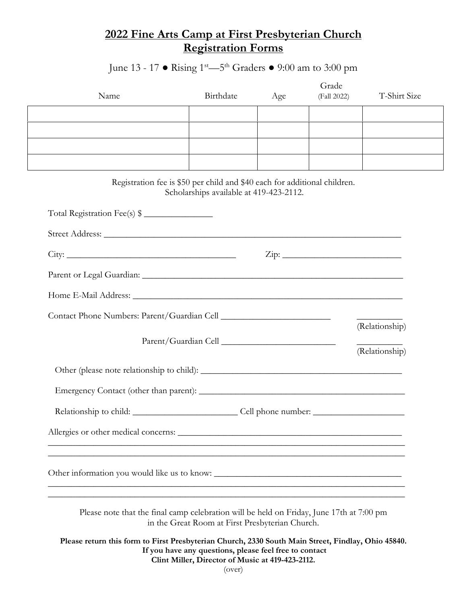## **2022 Fine Arts Camp at First Presbyterian Church Registration Forms**

June 13 - 17 ● Rising 1st—5th Graders ● 9:00 am to 3:00 pm

| Name                                                                                               | Birthdate                                                                                                            | Age | Grade<br>(Fall 2022) | T-Shirt Size   |
|----------------------------------------------------------------------------------------------------|----------------------------------------------------------------------------------------------------------------------|-----|----------------------|----------------|
|                                                                                                    |                                                                                                                      |     |                      |                |
|                                                                                                    |                                                                                                                      |     |                      |                |
|                                                                                                    |                                                                                                                      |     |                      |                |
| Registration fee is \$50 per child and \$40 each for additional children.                          | Scholarships available at 419-423-2112.                                                                              |     |                      |                |
| Total Registration Fee(s) \$                                                                       |                                                                                                                      |     |                      |                |
|                                                                                                    |                                                                                                                      |     |                      |                |
| $\operatorname{Zip:}$                                                                              |                                                                                                                      |     |                      |                |
|                                                                                                    |                                                                                                                      |     |                      |                |
|                                                                                                    |                                                                                                                      |     |                      |                |
|                                                                                                    |                                                                                                                      |     |                      | (Relationship) |
|                                                                                                    |                                                                                                                      |     |                      | (Relationship) |
|                                                                                                    |                                                                                                                      |     |                      |                |
|                                                                                                    |                                                                                                                      |     |                      |                |
|                                                                                                    |                                                                                                                      |     |                      |                |
| Allergies or other medical concerns:                                                               |                                                                                                                      |     |                      |                |
|                                                                                                    |                                                                                                                      |     |                      |                |
| Other information you would like us to know:                                                       |                                                                                                                      |     |                      |                |
| Please note that the final camp celebration will be held on Friday, June 17th at 7:00 pm           | in the Great Room at First Presbyterian Church.                                                                      |     |                      |                |
| Please return this form to First Presbyterian Church, 2330 South Main Street, Findlay, Ohio 45840. | If you have any questions, please feel free to contact<br>Clint Miller, Director of Music at 419-423-2112.<br>(over) |     |                      |                |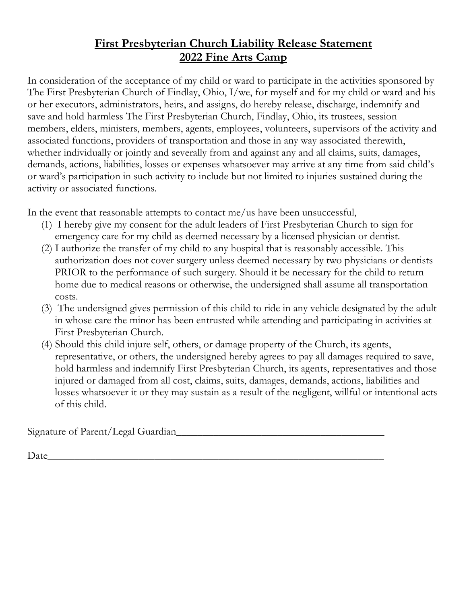## **First Presbyterian Church Liability Release Statement 2022 Fine Arts Camp**

In consideration of the acceptance of my child or ward to participate in the activities sponsored by The First Presbyterian Church of Findlay, Ohio, I/we, for myself and for my child or ward and his or her executors, administrators, heirs, and assigns, do hereby release, discharge, indemnify and save and hold harmless The First Presbyterian Church, Findlay, Ohio, its trustees, session members, elders, ministers, members, agents, employees, volunteers, supervisors of the activity and associated functions, providers of transportation and those in any way associated therewith, whether individually or jointly and severally from and against any and all claims, suits, damages, demands, actions, liabilities, losses or expenses whatsoever may arrive at any time from said child's or ward's participation in such activity to include but not limited to injuries sustained during the activity or associated functions.

In the event that reasonable attempts to contact me/us have been unsuccessful,

- (1) I hereby give my consent for the adult leaders of First Presbyterian Church to sign for emergency care for my child as deemed necessary by a licensed physician or dentist.
- (2) I authorize the transfer of my child to any hospital that is reasonably accessible. This authorization does not cover surgery unless deemed necessary by two physicians or dentists PRIOR to the performance of such surgery. Should it be necessary for the child to return home due to medical reasons or otherwise, the undersigned shall assume all transportation costs.
- (3) The undersigned gives permission of this child to ride in any vehicle designated by the adult in whose care the minor has been entrusted while attending and participating in activities at First Presbyterian Church.
- (4) Should this child injure self, others, or damage property of the Church, its agents, representative, or others, the undersigned hereby agrees to pay all damages required to save, hold harmless and indemnify First Presbyterian Church, its agents, representatives and those injured or damaged from all cost, claims, suits, damages, demands, actions, liabilities and losses whatsoever it or they may sustain as a result of the negligent, willful or intentional acts of this child.

Signature of Parent/Legal Guardian

 $\text{Date}$